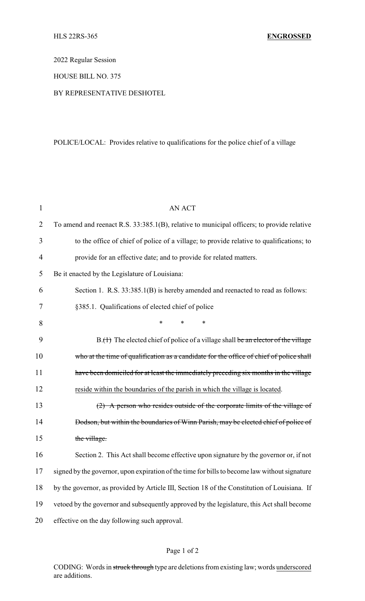2022 Regular Session

HOUSE BILL NO. 375

## BY REPRESENTATIVE DESHOTEL

## POLICE/LOCAL: Provides relative to qualifications for the police chief of a village

| 1              | <b>AN ACT</b>                                                                                 |  |
|----------------|-----------------------------------------------------------------------------------------------|--|
| $\overline{2}$ | To amend and reenact R.S. 33:385.1(B), relative to municipal officers; to provide relative    |  |
| 3              | to the office of chief of police of a village; to provide relative to qualifications; to      |  |
| $\overline{4}$ | provide for an effective date; and to provide for related matters.                            |  |
| 5              | Be it enacted by the Legislature of Louisiana:                                                |  |
| 6              | Section 1. R.S. 33:385.1(B) is hereby amended and reenacted to read as follows:               |  |
| 7              | §385.1. Qualifications of elected chief of police                                             |  |
| 8              | ∗<br>*<br>∗                                                                                   |  |
| 9              | B.(1) The elected chief of police of a village shall be an elector of the village             |  |
| 10             | who at the time of qualification as a candidate for the office of chief of police shall       |  |
| 11             | have been domiciled for at least the immediately preceding six months in the village          |  |
| 12             | reside within the boundaries of the parish in which the village is located.                   |  |
| 13             | (2) A person who resides outside of the corporate limits of the village of                    |  |
| 14             | Dodson, but within the boundaries of Winn Parish, may be elected chief of police of           |  |
| 15             | the village.                                                                                  |  |
| 16             | Section 2. This Act shall become effective upon signature by the governor or, if not          |  |
| 17             | signed by the governor, upon expiration of the time for bills to become law without signature |  |
| 18             | by the governor, as provided by Article III, Section 18 of the Constitution of Louisiana. If  |  |
| 19             | vetoed by the governor and subsequently approved by the legislature, this Act shall become    |  |
| 20             | effective on the day following such approval.                                                 |  |

## Page 1 of 2

CODING: Words in struck through type are deletions from existing law; words underscored are additions.